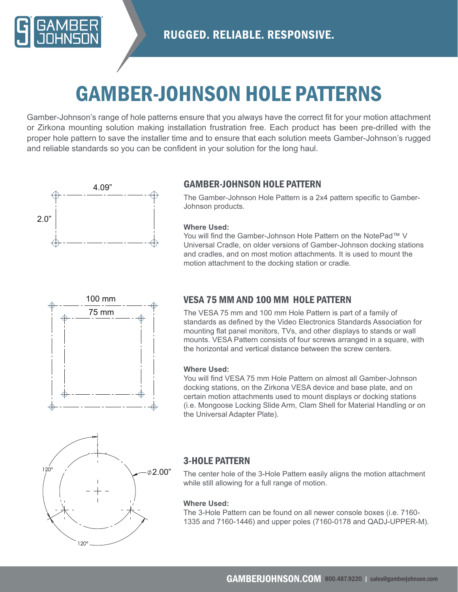

## GAMBER-JOHNSON HOLE PATTERNS

Gamber-Johnson's range of hole patterns ensure that you always have the correct fit for your motion attachment or Zirkona mounting solution making installation frustration free. Each product has been pre-drilled with the proper hole pattern to save the installer time and to ensure that each solution meets Gamber-Johnson's rugged and reliable standards so you can be confident in your solution for the long haul.



## GAMBER-JOHNSON HOLE PATTERN

The Gamber-Johnson Hole Pattern is a 2x4 pattern specific to Gamber-Johnson products.

#### **Where Used:**

You will find the Gamber-Johnson Hole Pattern on the NotePad™ V Universal Cradle, on older versions of Gamber-Johnson docking stations and cradles, and on most motion attachments. It is used to mount the motion attachment to the docking station or cradle.



## VESA 75 MM AND 100 MM HOLE PATTERN

The VESA 75 mm and 100 mm Hole Pattern is part of a family of standards as defined by the Video Electronics Standards Association for mounting flat panel monitors, TVs, and other displays to stands or wall mounts. VESA Pattern consists of four screws arranged in a square, with the horizontal and vertical distance between the screw centers.

#### **Where Used:**

You will find VESA 75 mm Hole Pattern on almost all Gamber-Johnson docking stations, on the Zirkona VESA device and base plate, and on certain motion attachments used to mount displays or docking stations (i.e. Mongoose Locking Slide Arm, Clam Shell for Material Handling or on the Universal Adapter Plate).



### 3-HOLE PATTERN

The center hole of the 3-Hole Pattern easily aligns the motion attachment while still allowing for a full range of motion.

#### **Where Used:**

The 3-Hole Pattern can be found on all newer console boxes (i.e. 7160- 1335 and 7160-1446) and upper poles (7160-0178 and QADJ-UPPER-M).